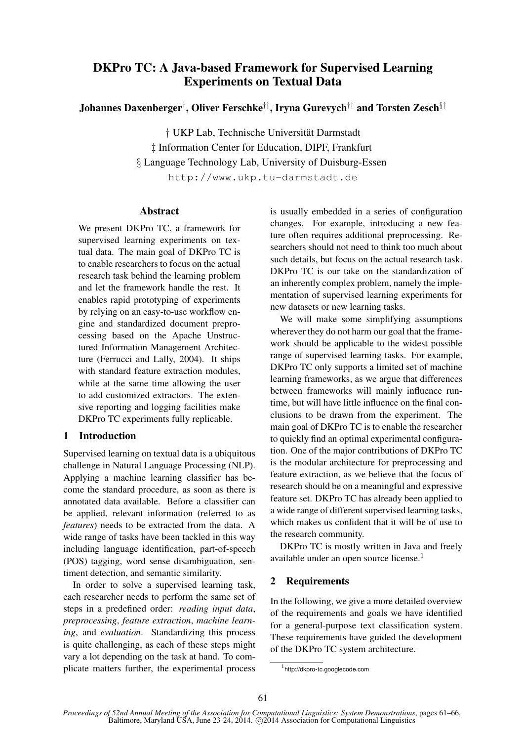# DKPro TC: A Java-based Framework for Supervised Learning Experiments on Textual Data

Johannes Daxenberger† , Oliver Ferschke†‡, Iryna Gurevych†‡ and Torsten Zesch§‡

† UKP Lab, Technische Universität Darmstadt ‡ Information Center for Education, DIPF, Frankfurt § Language Technology Lab, University of Duisburg-Essen http://www.ukp.tu-darmstadt.de

#### Abstract

We present DKPro TC, a framework for supervised learning experiments on textual data. The main goal of DKPro TC is to enable researchers to focus on the actual research task behind the learning problem and let the framework handle the rest. It enables rapid prototyping of experiments by relying on an easy-to-use workflow engine and standardized document preprocessing based on the Apache Unstructured Information Management Architecture (Ferrucci and Lally, 2004). It ships with standard feature extraction modules, while at the same time allowing the user to add customized extractors. The extensive reporting and logging facilities make DKPro TC experiments fully replicable.

# 1 Introduction

Supervised learning on textual data is a ubiquitous challenge in Natural Language Processing (NLP). Applying a machine learning classifier has become the standard procedure, as soon as there is annotated data available. Before a classifier can be applied, relevant information (referred to as *features*) needs to be extracted from the data. A wide range of tasks have been tackled in this way including language identification, part-of-speech (POS) tagging, word sense disambiguation, sentiment detection, and semantic similarity.

In order to solve a supervised learning task, each researcher needs to perform the same set of steps in a predefined order: *reading input data*, *preprocessing*, *feature extraction*, *machine learning*, and *evaluation*. Standardizing this process is quite challenging, as each of these steps might vary a lot depending on the task at hand. To complicate matters further, the experimental process is usually embedded in a series of configuration changes. For example, introducing a new feature often requires additional preprocessing. Researchers should not need to think too much about such details, but focus on the actual research task. DKPro TC is our take on the standardization of an inherently complex problem, namely the implementation of supervised learning experiments for new datasets or new learning tasks.

We will make some simplifying assumptions wherever they do not harm our goal that the framework should be applicable to the widest possible range of supervised learning tasks. For example, DKPro TC only supports a limited set of machine learning frameworks, as we argue that differences between frameworks will mainly influence runtime, but will have little influence on the final conclusions to be drawn from the experiment. The main goal of DKPro TC is to enable the researcher to quickly find an optimal experimental configuration. One of the major contributions of DKPro TC is the modular architecture for preprocessing and feature extraction, as we believe that the focus of research should be on a meaningful and expressive feature set. DKPro TC has already been applied to a wide range of different supervised learning tasks, which makes us confident that it will be of use to the research community.

DKPro TC is mostly written in Java and freely available under an open source license.<sup>1</sup>

# 2 Requirements

In the following, we give a more detailed overview of the requirements and goals we have identified for a general-purpose text classification system. These requirements have guided the development of the DKPro TC system architecture.

<sup>1</sup> http://dkpro-tc.googlecode.com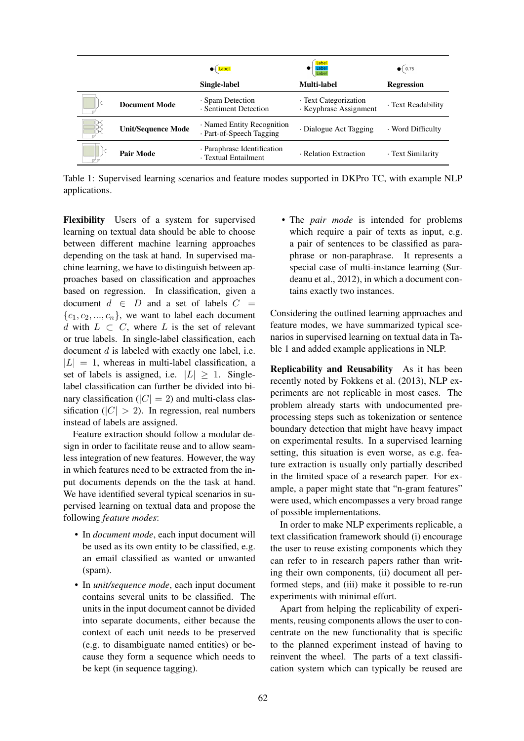|                           | $\bigoplus$ Label                                      | Label<br>Label<br>Label                         | $\bullet$ 0.75     |
|---------------------------|--------------------------------------------------------|-------------------------------------------------|--------------------|
|                           | Single-label                                           | Multi-label                                     | <b>Regression</b>  |
| <b>Document Mode</b>      | · Spam Detection<br>· Sentiment Detection              | · Text Categorization<br>· Keyphrase Assignment | · Text Readability |
| <b>Unit/Sequence Mode</b> | • Named Entity Recognition<br>· Part-of-Speech Tagging | · Dialogue Act Tagging                          | · Word Difficulty  |
| <b>Pair Mode</b>          | Paraphrase Identification<br>· Textual Entailment      | · Relation Extraction                           | · Text Similarity  |

Table 1: Supervised learning scenarios and feature modes supported in DKPro TC, with example NLP applications.

Flexibility Users of a system for supervised learning on textual data should be able to choose between different machine learning approaches depending on the task at hand. In supervised machine learning, we have to distinguish between approaches based on classification and approaches based on regression. In classification, given a document  $d \in D$  and a set of labels  $C =$  ${c_1, c_2, ..., c_n}$ , we want to label each document d with  $L \subset C$ , where L is the set of relevant or true labels. In single-label classification, each document d is labeled with exactly one label, i.e.  $|L| = 1$ , whereas in multi-label classification, a set of labels is assigned, i.e.  $|L| \ge 1$ . Singlelabel classification can further be divided into binary classification ( $|C| = 2$ ) and multi-class classification ( $|C| > 2$ ). In regression, real numbers instead of labels are assigned.

Feature extraction should follow a modular design in order to facilitate reuse and to allow seamless integration of new features. However, the way in which features need to be extracted from the input documents depends on the the task at hand. We have identified several typical scenarios in supervised learning on textual data and propose the following *feature modes*:

- In *document mode*, each input document will be used as its own entity to be classified, e.g. an email classified as wanted or unwanted (spam).
- In *unit/sequence mode*, each input document contains several units to be classified. The units in the input document cannot be divided into separate documents, either because the context of each unit needs to be preserved (e.g. to disambiguate named entities) or because they form a sequence which needs to be kept (in sequence tagging).

• The *pair mode* is intended for problems which require a pair of texts as input, e.g. a pair of sentences to be classified as paraphrase or non-paraphrase. It represents a special case of multi-instance learning (Surdeanu et al., 2012), in which a document contains exactly two instances.

Considering the outlined learning approaches and feature modes, we have summarized typical scenarios in supervised learning on textual data in Table 1 and added example applications in NLP.

Replicability and Reusability As it has been recently noted by Fokkens et al. (2013), NLP experiments are not replicable in most cases. The problem already starts with undocumented preprocessing steps such as tokenization or sentence boundary detection that might have heavy impact on experimental results. In a supervised learning setting, this situation is even worse, as e.g. feature extraction is usually only partially described in the limited space of a research paper. For example, a paper might state that "n-gram features" were used, which encompasses a very broad range of possible implementations.

In order to make NLP experiments replicable, a text classification framework should (i) encourage the user to reuse existing components which they can refer to in research papers rather than writing their own components, (ii) document all performed steps, and (iii) make it possible to re-run experiments with minimal effort.

Apart from helping the replicability of experiments, reusing components allows the user to concentrate on the new functionality that is specific to the planned experiment instead of having to reinvent the wheel. The parts of a text classification system which can typically be reused are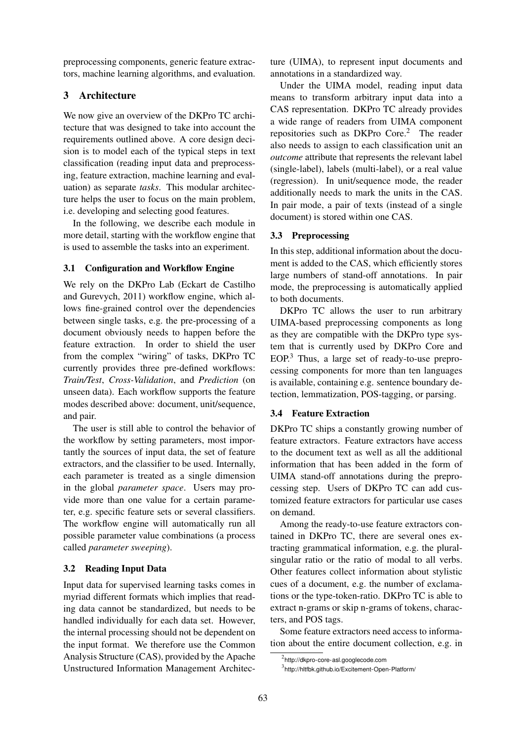preprocessing components, generic feature extractors, machine learning algorithms, and evaluation.

# 3 Architecture

We now give an overview of the DKPro TC architecture that was designed to take into account the requirements outlined above. A core design decision is to model each of the typical steps in text classification (reading input data and preprocessing, feature extraction, machine learning and evaluation) as separate *tasks*. This modular architecture helps the user to focus on the main problem, i.e. developing and selecting good features.

In the following, we describe each module in more detail, starting with the workflow engine that is used to assemble the tasks into an experiment.

# 3.1 Configuration and Workflow Engine

We rely on the DKPro Lab (Eckart de Castilho and Gurevych, 2011) workflow engine, which allows fine-grained control over the dependencies between single tasks, e.g. the pre-processing of a document obviously needs to happen before the feature extraction. In order to shield the user from the complex "wiring" of tasks, DKPro TC currently provides three pre-defined workflows: *Train/Test*, *Cross-Validation*, and *Prediction* (on unseen data). Each workflow supports the feature modes described above: document, unit/sequence, and pair.

The user is still able to control the behavior of the workflow by setting parameters, most importantly the sources of input data, the set of feature extractors, and the classifier to be used. Internally, each parameter is treated as a single dimension in the global *parameter space*. Users may provide more than one value for a certain parameter, e.g. specific feature sets or several classifiers. The workflow engine will automatically run all possible parameter value combinations (a process called *parameter sweeping*).

#### 3.2 Reading Input Data

Input data for supervised learning tasks comes in myriad different formats which implies that reading data cannot be standardized, but needs to be handled individually for each data set. However, the internal processing should not be dependent on the input format. We therefore use the Common Analysis Structure (CAS), provided by the Apache Unstructured Information Management Architecture (UIMA), to represent input documents and annotations in a standardized way.

Under the UIMA model, reading input data means to transform arbitrary input data into a CAS representation. DKPro TC already provides a wide range of readers from UIMA component repositories such as DKPro  $Core.<sup>2</sup>$  The reader also needs to assign to each classification unit an *outcome* attribute that represents the relevant label (single-label), labels (multi-label), or a real value (regression). In unit/sequence mode, the reader additionally needs to mark the units in the CAS. In pair mode, a pair of texts (instead of a single document) is stored within one CAS.

### 3.3 Preprocessing

In this step, additional information about the document is added to the CAS, which efficiently stores large numbers of stand-off annotations. In pair mode, the preprocessing is automatically applied to both documents.

DKPro TC allows the user to run arbitrary UIMA-based preprocessing components as long as they are compatible with the DKPro type system that is currently used by DKPro Core and EOP.<sup>3</sup> Thus, a large set of ready-to-use preprocessing components for more than ten languages is available, containing e.g. sentence boundary detection, lemmatization, POS-tagging, or parsing.

#### 3.4 Feature Extraction

DKPro TC ships a constantly growing number of feature extractors. Feature extractors have access to the document text as well as all the additional information that has been added in the form of UIMA stand-off annotations during the preprocessing step. Users of DKPro TC can add customized feature extractors for particular use cases on demand.

Among the ready-to-use feature extractors contained in DKPro TC, there are several ones extracting grammatical information, e.g. the pluralsingular ratio or the ratio of modal to all verbs. Other features collect information about stylistic cues of a document, e.g. the number of exclamations or the type-token-ratio. DKPro TC is able to extract n-grams or skip n-grams of tokens, characters, and POS tags.

Some feature extractors need access to information about the entire document collection, e.g. in

<sup>2</sup> http://dkpro-core-asl.googlecode.com

<sup>3</sup> http://hltfbk.github.io/Excitement-Open-Platform/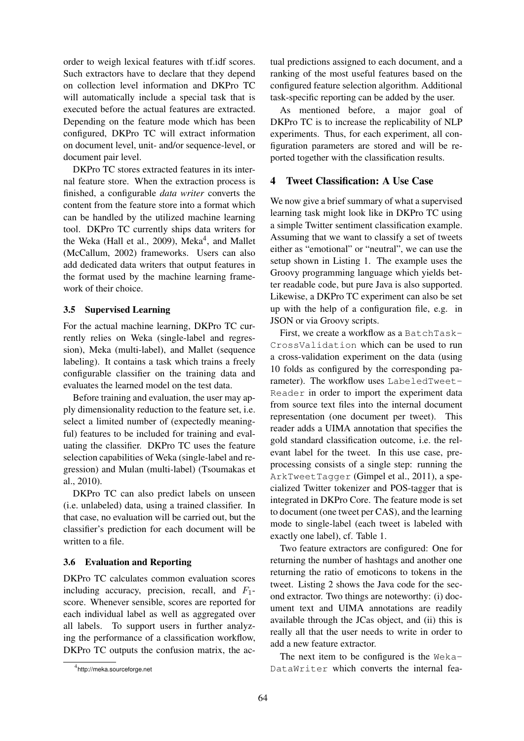order to weigh lexical features with tf.idf scores. Such extractors have to declare that they depend on collection level information and DKPro TC will automatically include a special task that is executed before the actual features are extracted. Depending on the feature mode which has been configured, DKPro TC will extract information on document level, unit- and/or sequence-level, or document pair level.

DKPro TC stores extracted features in its internal feature store. When the extraction process is finished, a configurable *data writer* converts the content from the feature store into a format which can be handled by the utilized machine learning tool. DKPro TC currently ships data writers for the Weka (Hall et al., 2009), Meka<sup>4</sup>, and Mallet (McCallum, 2002) frameworks. Users can also add dedicated data writers that output features in the format used by the machine learning framework of their choice.

#### 3.5 Supervised Learning

For the actual machine learning, DKPro TC currently relies on Weka (single-label and regression), Meka (multi-label), and Mallet (sequence labeling). It contains a task which trains a freely configurable classifier on the training data and evaluates the learned model on the test data.

Before training and evaluation, the user may apply dimensionality reduction to the feature set, i.e. select a limited number of (expectedly meaningful) features to be included for training and evaluating the classifier. DKPro TC uses the feature selection capabilities of Weka (single-label and regression) and Mulan (multi-label) (Tsoumakas et al., 2010).

DKPro TC can also predict labels on unseen (i.e. unlabeled) data, using a trained classifier. In that case, no evaluation will be carried out, but the classifier's prediction for each document will be written to a file.

#### 3.6 Evaluation and Reporting

DKPro TC calculates common evaluation scores including accuracy, precision, recall, and  $F_1$ score. Whenever sensible, scores are reported for each individual label as well as aggregated over all labels. To support users in further analyzing the performance of a classification workflow, DKPro TC outputs the confusion matrix, the actual predictions assigned to each document, and a ranking of the most useful features based on the configured feature selection algorithm. Additional task-specific reporting can be added by the user.

As mentioned before, a major goal of DKPro TC is to increase the replicability of NLP experiments. Thus, for each experiment, all configuration parameters are stored and will be reported together with the classification results.

# 4 Tweet Classification: A Use Case

We now give a brief summary of what a supervised learning task might look like in DKPro TC using a simple Twitter sentiment classification example. Assuming that we want to classify a set of tweets either as "emotional" or "neutral", we can use the setup shown in Listing 1. The example uses the Groovy programming language which yields better readable code, but pure Java is also supported. Likewise, a DKPro TC experiment can also be set up with the help of a configuration file, e.g. in JSON or via Groovy scripts.

First, we create a workflow as a BatchTask-CrossValidation which can be used to run a cross-validation experiment on the data (using 10 folds as configured by the corresponding parameter). The workflow uses LabeledTweet-Reader in order to import the experiment data from source text files into the internal document representation (one document per tweet). This reader adds a UIMA annotation that specifies the gold standard classification outcome, i.e. the relevant label for the tweet. In this use case, preprocessing consists of a single step: running the ArkTweetTagger (Gimpel et al., 2011), a specialized Twitter tokenizer and POS-tagger that is integrated in DKPro Core. The feature mode is set to document (one tweet per CAS), and the learning mode to single-label (each tweet is labeled with exactly one label), cf. Table 1.

Two feature extractors are configured: One for returning the number of hashtags and another one returning the ratio of emoticons to tokens in the tweet. Listing 2 shows the Java code for the second extractor. Two things are noteworthy: (i) document text and UIMA annotations are readily available through the JCas object, and (ii) this is really all that the user needs to write in order to add a new feature extractor.

The next item to be configured is the Weka-DataWriter which converts the internal fea-

<sup>4</sup> http://meka.sourceforge.net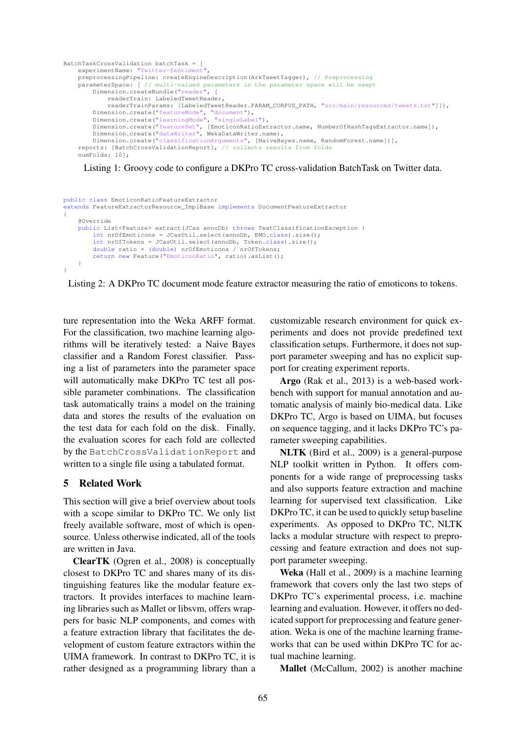```
BatchTaskCrossValidation batchTask = [
    experimentName: "Twitter-Sentiment",
    preprocessingPipeline: createEngineDescription(ArkTweetTagger), // Preprocessing
    parameterSpace: [ // multi-valued parameters in the parameter space will be swept
        Dimension.createBundle("reader", [
            readerTrain: LabeledTweetReader,
             readerTrainParams: [LabeledTweetReader.PARAM_CORPUS_PATH, "src/main/resources/tweets.txt"]]),
        Dimension.create("featureMode", "document"),
Dimension.create("learningMode", "singleLabel"),
        Dimension.create("featureSet", [EmoticonRatioExtractor.name, NumberOfHashTagsExtractor.name]),
        Dimension.create("dataWriter", WekaDataWriter.name),
        Dimension.create("classificationArguments", [NaiveBayes.name, RandomForest.name])],
    reports: [BatchCrossValidationReport], // collects results from folds
    numFolds: 10];
```
Listing 1: Groovy code to configure a DKPro TC cross-validation BatchTask on Twitter data.

```
public class EmoticonRatioFeatureExtractor
extends FeatureExtractorResource_ImplBase implements DocumentFeatureExtractor
{
    @Override
    public List<Feature> extract(JCas annoDb) throws TextClassificationException {
        int nrOfEmoticons = JCasUtil.select(annoDb, EMO.class).size();
        int nrOfTokens = JCasUtil.select(annoDb, Token.class).size();
        double ratio = (double) nrOfEmoticons / nrOfTokens;
        return new Feature("EmoticonRatio", ratio).asList();
    }
}
```
Listing 2: A DKPro TC document mode feature extractor measuring the ratio of emoticons to tokens.

ture representation into the Weka ARFF format. For the classification, two machine learning algorithms will be iteratively tested: a Naive Bayes classifier and a Random Forest classifier. Passing a list of parameters into the parameter space will automatically make DKPro TC test all possible parameter combinations. The classification task automatically trains a model on the training data and stores the results of the evaluation on the test data for each fold on the disk. Finally, the evaluation scores for each fold are collected by the BatchCrossValidationReport and written to a single file using a tabulated format.

# 5 Related Work

This section will give a brief overview about tools with a scope similar to DKPro TC. We only list freely available software, most of which is opensource. Unless otherwise indicated, all of the tools are written in Java.

ClearTK (Ogren et al., 2008) is conceptually closest to DKPro TC and shares many of its distinguishing features like the modular feature extractors. It provides interfaces to machine learning libraries such as Mallet or libsvm, offers wrappers for basic NLP components, and comes with a feature extraction library that facilitates the development of custom feature extractors within the UIMA framework. In contrast to DKPro TC, it is rather designed as a programming library than a

customizable research environment for quick experiments and does not provide predefined text classification setups. Furthermore, it does not support parameter sweeping and has no explicit support for creating experiment reports.

Argo (Rak et al., 2013) is a web-based workbench with support for manual annotation and automatic analysis of mainly bio-medical data. Like DKPro TC, Argo is based on UIMA, but focuses on sequence tagging, and it lacks DKPro TC's parameter sweeping capabilities.

NLTK (Bird et al., 2009) is a general-purpose NLP toolkit written in Python. It offers components for a wide range of preprocessing tasks and also supports feature extraction and machine learning for supervised text classification. Like DKPro TC, it can be used to quickly setup baseline experiments. As opposed to DKPro TC, NLTK lacks a modular structure with respect to preprocessing and feature extraction and does not support parameter sweeping.

Weka (Hall et al., 2009) is a machine learning framework that covers only the last two steps of DKPro TC's experimental process, i.e. machine learning and evaluation. However, it offers no dedicated support for preprocessing and feature generation. Weka is one of the machine learning frameworks that can be used within DKPro TC for actual machine learning.

Mallet (McCallum, 2002) is another machine